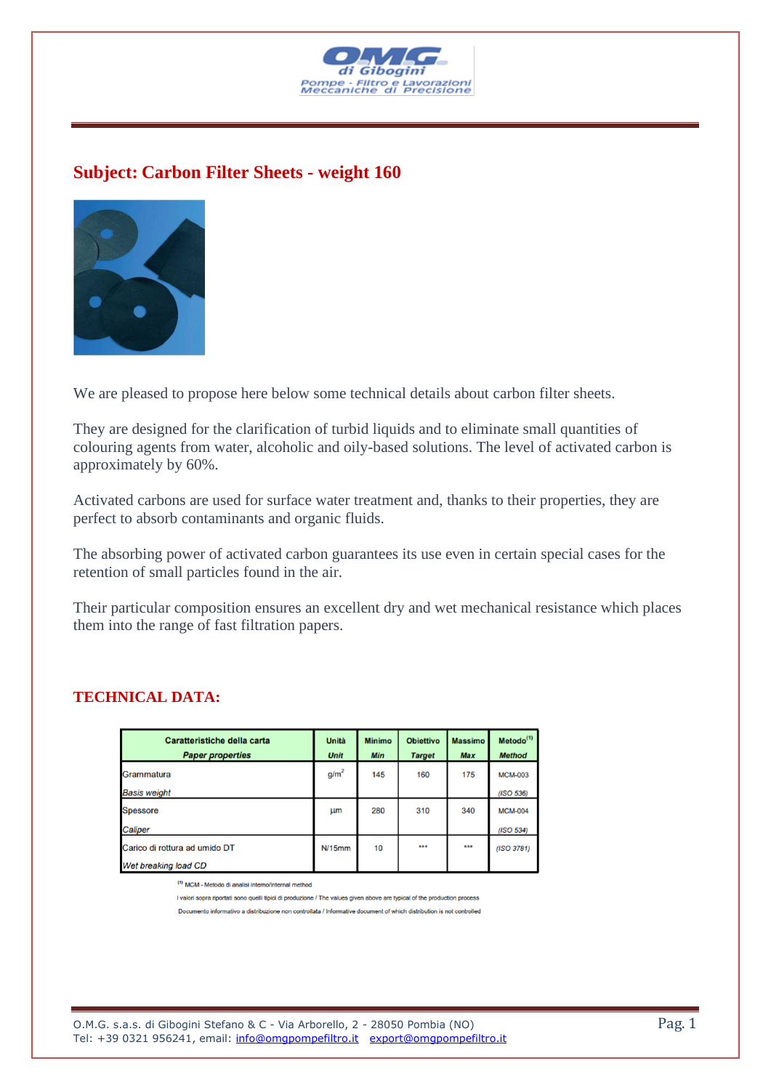

## **Subject: Carbon Filter Sheets - weight 160**



We are pleased to propose here below some technical details about carbon filter sheets.

They are designed for the clarification of turbid liquids and to eliminate small quantities of colouring agents from water, alcoholic and oily-based solutions. The level of activated carbon is approximately by 60%.

Activated carbons are used for surface water treatment and, thanks to their properties, they are perfect to absorb contaminants and organic fluids.

The absorbing power of activated carbon guarantees its use even in certain special cases for the retention of small particles found in the air.

Their particular composition ensures an excellent dry and wet mechanical resistance which places them into the range of fast filtration papers.

| Caratteristiche della carta<br><b>Paper properties</b> | Unità<br><b>Unit</b> | <b>Minimo</b><br>Min | <b>Obiettivo</b><br><b>Target</b> | <b>Massimo</b><br><b>Max</b> | Metodo <sup>(1)</sup><br><b>Method</b> |
|--------------------------------------------------------|----------------------|----------------------|-----------------------------------|------------------------------|----------------------------------------|
| Grammatura                                             | q/m <sup>2</sup>     | 145                  | 160                               | 175                          | <b>MCM-003</b>                         |
| <b>Basis weight</b>                                    |                      |                      |                                   |                              | (ISO 536)                              |
| <b>Spessore</b>                                        | <b>Lim</b>           | 280                  | 310                               | 340                          | <b>MCM-004</b>                         |
| Caliper                                                |                      |                      |                                   |                              | (ISO 534)                              |
| Carico di rottura ad umido DT                          | N/15mm               | 10                   | ***                               | ***                          | (ISO 3781)                             |
| Wet breaking load CD                                   |                      |                      |                                   |                              |                                        |

## **TECHNICAL DATA:**

 $<sup>(1)</sup> MCM - Metodo di analisi interno/internal method$ </sup>

I valori sopra riportati sono quelli tipici di produzione / The values given above are typical of the production process

Documento informativo a distribuzione non controllata / Informative document of which distribution is not controlled